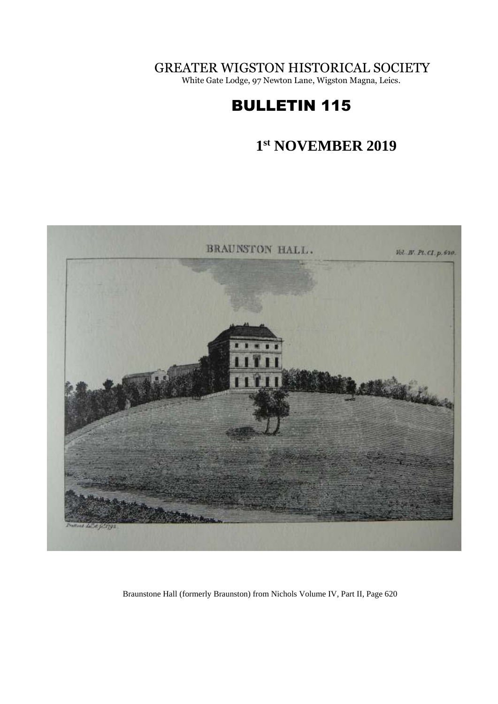GREATER WIGSTON HISTORICAL SOCIETY

White Gate Lodge, 97 Newton Lane, Wigston Magna, Leics.

# BULLETIN 115

#### **1 st NOVEMBER 2019**



Braunstone Hall (formerly Braunston) from Nichols Volume IV, Part II, Page 620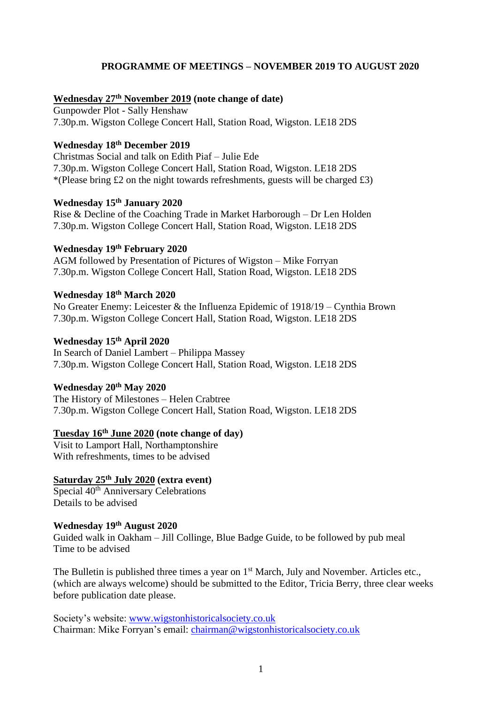# **PROGRAMME OF MEETINGS – NOVEMBER 2019 TO AUGUST 2020**

#### **Wednesday 27 th November 2019 (note change of date)**

Gunpowder Plot - Sally Henshaw 7.30p.m. Wigston College Concert Hall, Station Road, Wigston. LE18 2DS

# **Wednesday 18th December 2019**

Christmas Social and talk on Edith Piaf – Julie Ede 7.30p.m. Wigston College Concert Hall, Station Road, Wigston. LE18 2DS \*(Please bring £2 on the night towards refreshments, guests will be charged £3)

# **Wednesday 15th January 2020**

Rise & Decline of the Coaching Trade in Market Harborough – Dr Len Holden 7.30p.m. Wigston College Concert Hall, Station Road, Wigston. LE18 2DS

# **Wednesday 19th February 2020**

AGM followed by Presentation of Pictures of Wigston – Mike Forryan 7.30p.m. Wigston College Concert Hall, Station Road, Wigston. LE18 2DS

#### **Wednesday 18th March 2020**

No Greater Enemy: Leicester & the Influenza Epidemic of 1918/19 – Cynthia Brown 7.30p.m. Wigston College Concert Hall, Station Road, Wigston. LE18 2DS

# **Wednesday 15th April 2020**

In Search of Daniel Lambert – Philippa Massey 7.30p.m. Wigston College Concert Hall, Station Road, Wigston. LE18 2DS

#### **Wednesday 20th May 2020**

The History of Milestones – Helen Crabtree 7.30p.m. Wigston College Concert Hall, Station Road, Wigston. LE18 2DS

# **Tuesday 16th June 2020 (note change of day)**

Visit to Lamport Hall, Northamptonshire With refreshments, times to be advised

# **Saturday 25th July 2020 (extra event)**

Special 40<sup>th</sup> Anniversary Celebrations Details to be advised

#### **Wednesday 19th August 2020**

Guided walk in Oakham – Jill Collinge, Blue Badge Guide, to be followed by pub meal Time to be advised

The Bulletin is published three times a year on  $1<sup>st</sup>$  March, July and November. Articles etc., (which are always welcome) should be submitted to the Editor, Tricia Berry, three clear weeks before publication date please.

Society's website: [www.wigstonhistoricalsociety.co.uk](http://www.wigstonhistoricalsociety.co.uk/) Chairman: Mike Forryan's email: [chairman@wigstonhistoricalsociety.co.uk](mailto:chairman@wigstonhistoricalsociety.co.uk)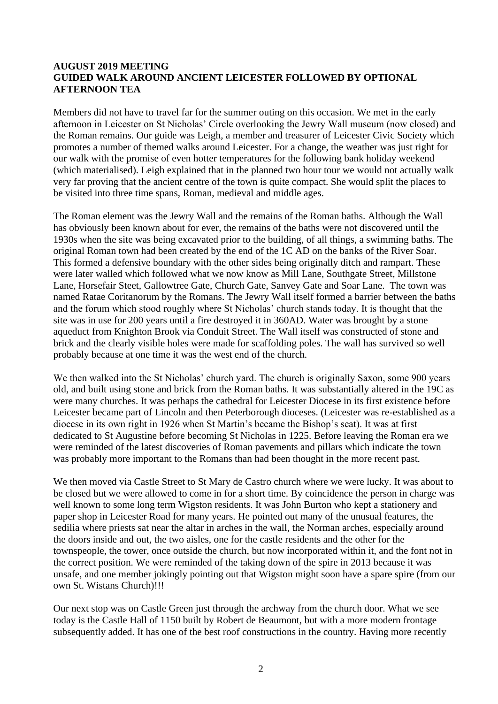## **AUGUST 2019 MEETING GUIDED WALK AROUND ANCIENT LEICESTER FOLLOWED BY OPTIONAL AFTERNOON TEA**

Members did not have to travel far for the summer outing on this occasion. We met in the early afternoon in Leicester on St Nicholas' Circle overlooking the Jewry Wall museum (now closed) and the Roman remains. Our guide was Leigh, a member and treasurer of Leicester Civic Society which promotes a number of themed walks around Leicester. For a change, the weather was just right for our walk with the promise of even hotter temperatures for the following bank holiday weekend (which materialised). Leigh explained that in the planned two hour tour we would not actually walk very far proving that the ancient centre of the town is quite compact. She would split the places to be visited into three time spans, Roman, medieval and middle ages.

The Roman element was the Jewry Wall and the remains of the Roman baths. Although the Wall has obviously been known about for ever, the remains of the baths were not discovered until the 1930s when the site was being excavated prior to the building, of all things, a swimming baths. The original Roman town had been created by the end of the 1C AD on the banks of the River Soar. This formed a defensive boundary with the other sides being originally ditch and rampart. These were later walled which followed what we now know as Mill Lane, Southgate Street, Millstone Lane, Horsefair Steet, Gallowtree Gate, Church Gate, Sanvey Gate and Soar Lane. The town was named Ratae Coritanorum by the Romans. The Jewry Wall itself formed a barrier between the baths and the forum which stood roughly where St Nicholas' church stands today. It is thought that the site was in use for 200 years until a fire destroyed it in 360AD. Water was brought by a stone aqueduct from Knighton Brook via Conduit Street. The Wall itself was constructed of stone and brick and the clearly visible holes were made for scaffolding poles. The wall has survived so well probably because at one time it was the west end of the church.

We then walked into the St Nicholas' church yard. The church is originally Saxon, some 900 years old, and built using stone and brick from the Roman baths. It was substantially altered in the 19C as were many churches. It was perhaps the cathedral for Leicester Diocese in its first existence before Leicester became part of Lincoln and then Peterborough dioceses. (Leicester was re-established as a diocese in its own right in 1926 when St Martin's became the Bishop's seat). It was at first dedicated to St Augustine before becoming St Nicholas in 1225. Before leaving the Roman era we were reminded of the latest discoveries of Roman pavements and pillars which indicate the town was probably more important to the Romans than had been thought in the more recent past.

We then moved via Castle Street to St Mary de Castro church where we were lucky. It was about to be closed but we were allowed to come in for a short time. By coincidence the person in charge was well known to some long term Wigston residents. It was John Burton who kept a stationery and paper shop in Leicester Road for many years. He pointed out many of the unusual features, the sedilia where priests sat near the altar in arches in the wall, the Norman arches, especially around the doors inside and out, the two aisles, one for the castle residents and the other for the townspeople, the tower, once outside the church, but now incorporated within it, and the font not in the correct position. We were reminded of the taking down of the spire in 2013 because it was unsafe, and one member jokingly pointing out that Wigston might soon have a spare spire (from our own St. Wistans Church)!!!

Our next stop was on Castle Green just through the archway from the church door. What we see today is the Castle Hall of 1150 built by Robert de Beaumont, but with a more modern frontage subsequently added. It has one of the best roof constructions in the country. Having more recently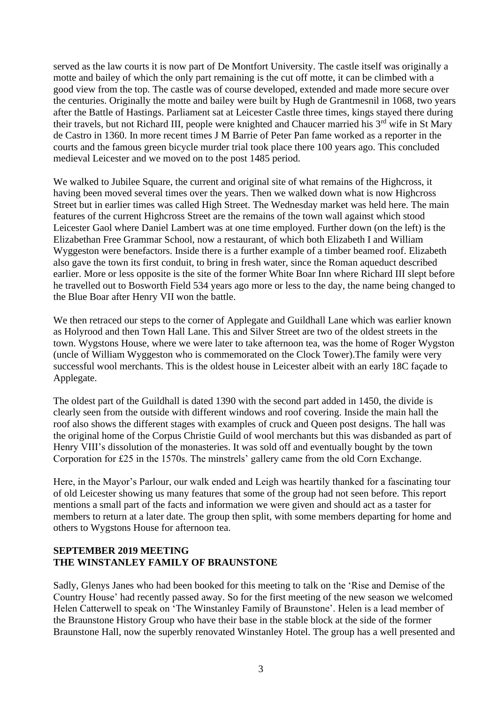served as the law courts it is now part of De Montfort University. The castle itself was originally a motte and bailey of which the only part remaining is the cut off motte, it can be climbed with a good view from the top. The castle was of course developed, extended and made more secure over the centuries. Originally the motte and bailey were built by Hugh de Grantmesnil in 1068, two years after the Battle of Hastings. Parliament sat at Leicester Castle three times, kings stayed there during their travels, but not Richard III, people were knighted and Chaucer married his 3<sup>rd</sup> wife in St Mary de Castro in 1360. In more recent times J M Barrie of Peter Pan fame worked as a reporter in the courts and the famous green bicycle murder trial took place there 100 years ago. This concluded medieval Leicester and we moved on to the post 1485 period.

We walked to Jubilee Square, the current and original site of what remains of the Highcross, it having been moved several times over the years. Then we walked down what is now Highcross Street but in earlier times was called High Street. The Wednesday market was held here. The main features of the current Highcross Street are the remains of the town wall against which stood Leicester Gaol where Daniel Lambert was at one time employed. Further down (on the left) is the Elizabethan Free Grammar School, now a restaurant, of which both Elizabeth I and William Wyggeston were benefactors. Inside there is a further example of a timber beamed roof. Elizabeth also gave the town its first conduit, to bring in fresh water, since the Roman aqueduct described earlier. More or less opposite is the site of the former White Boar Inn where Richard III slept before he travelled out to Bosworth Field 534 years ago more or less to the day, the name being changed to the Blue Boar after Henry VII won the battle.

We then retraced our steps to the corner of Applegate and Guildhall Lane which was earlier known as Holyrood and then Town Hall Lane. This and Silver Street are two of the oldest streets in the town. Wygstons House, where we were later to take afternoon tea, was the home of Roger Wygston (uncle of William Wyggeston who is commemorated on the Clock Tower).The family were very successful wool merchants. This is the oldest house in Leicester albeit with an early 18C façade to Applegate.

The oldest part of the Guildhall is dated 1390 with the second part added in 1450, the divide is clearly seen from the outside with different windows and roof covering. Inside the main hall the roof also shows the different stages with examples of cruck and Queen post designs. The hall was the original home of the Corpus Christie Guild of wool merchants but this was disbanded as part of Henry VIII's dissolution of the monasteries. It was sold off and eventually bought by the town Corporation for £25 in the 1570s. The minstrels' gallery came from the old Corn Exchange.

Here, in the Mayor's Parlour, our walk ended and Leigh was heartily thanked for a fascinating tour of old Leicester showing us many features that some of the group had not seen before. This report mentions a small part of the facts and information we were given and should act as a taster for members to return at a later date. The group then split, with some members departing for home and others to Wygstons House for afternoon tea.

# **SEPTEMBER 2019 MEETING THE WINSTANLEY FAMILY OF BRAUNSTONE**

Sadly, Glenys Janes who had been booked for this meeting to talk on the 'Rise and Demise of the Country House' had recently passed away. So for the first meeting of the new season we welcomed Helen Catterwell to speak on 'The Winstanley Family of Braunstone'. Helen is a lead member of the Braunstone History Group who have their base in the stable block at the side of the former Braunstone Hall, now the superbly renovated Winstanley Hotel. The group has a well presented and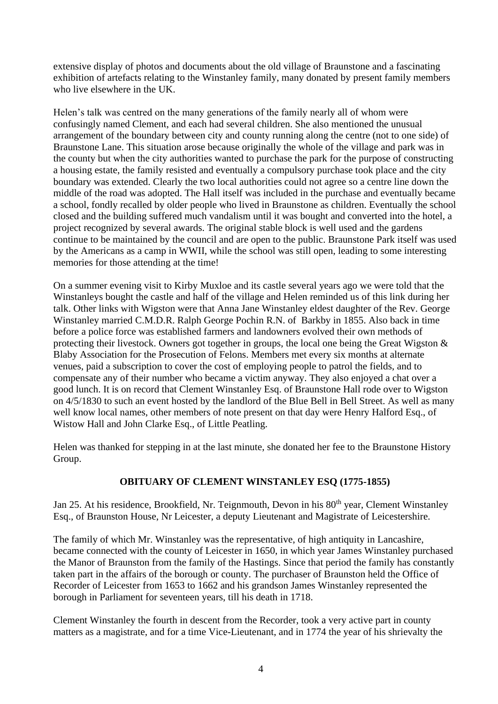extensive display of photos and documents about the old village of Braunstone and a fascinating exhibition of artefacts relating to the Winstanley family, many donated by present family members who live elsewhere in the UK.

Helen's talk was centred on the many generations of the family nearly all of whom were confusingly named Clement, and each had several children. She also mentioned the unusual arrangement of the boundary between city and county running along the centre (not to one side) of Braunstone Lane. This situation arose because originally the whole of the village and park was in the county but when the city authorities wanted to purchase the park for the purpose of constructing a housing estate, the family resisted and eventually a compulsory purchase took place and the city boundary was extended. Clearly the two local authorities could not agree so a centre line down the middle of the road was adopted. The Hall itself was included in the purchase and eventually became a school, fondly recalled by older people who lived in Braunstone as children. Eventually the school closed and the building suffered much vandalism until it was bought and converted into the hotel, a project recognized by several awards. The original stable block is well used and the gardens continue to be maintained by the council and are open to the public. Braunstone Park itself was used by the Americans as a camp in WWII, while the school was still open, leading to some interesting memories for those attending at the time!

On a summer evening visit to Kirby Muxloe and its castle several years ago we were told that the Winstanleys bought the castle and half of the village and Helen reminded us of this link during her talk. Other links with Wigston were that Anna Jane Winstanley eldest daughter of the Rev. George Winstanley married C.M.D.R. Ralph George Pochin R.N. of Barkby in 1855. Also back in time before a police force was established farmers and landowners evolved their own methods of protecting their livestock. Owners got together in groups, the local one being the Great Wigston  $\&$ Blaby Association for the Prosecution of Felons. Members met every six months at alternate venues, paid a subscription to cover the cost of employing people to patrol the fields, and to compensate any of their number who became a victim anyway. They also enjoyed a chat over a good lunch. It is on record that Clement Winstanley Esq. of Braunstone Hall rode over to Wigston on 4/5/1830 to such an event hosted by the landlord of the Blue Bell in Bell Street. As well as many well know local names, other members of note present on that day were Henry Halford Esq., of Wistow Hall and John Clarke Esq., of Little Peatling.

Helen was thanked for stepping in at the last minute, she donated her fee to the Braunstone History Group.

#### **OBITUARY OF CLEMENT WINSTANLEY ESQ (1775-1855)**

Jan 25. At his residence, Brookfield, Nr. Teignmouth, Devon in his 80<sup>th</sup> year, Clement Winstanley Esq., of Braunston House, Nr Leicester, a deputy Lieutenant and Magistrate of Leicestershire.

The family of which Mr. Winstanley was the representative, of high antiquity in Lancashire, became connected with the county of Leicester in 1650, in which year James Winstanley purchased the Manor of Braunston from the family of the Hastings. Since that period the family has constantly taken part in the affairs of the borough or county. The purchaser of Braunston held the Office of Recorder of Leicester from 1653 to 1662 and his grandson James Winstanley represented the borough in Parliament for seventeen years, till his death in 1718.

Clement Winstanley the fourth in descent from the Recorder, took a very active part in county matters as a magistrate, and for a time Vice-Lieutenant, and in 1774 the year of his shrievalty the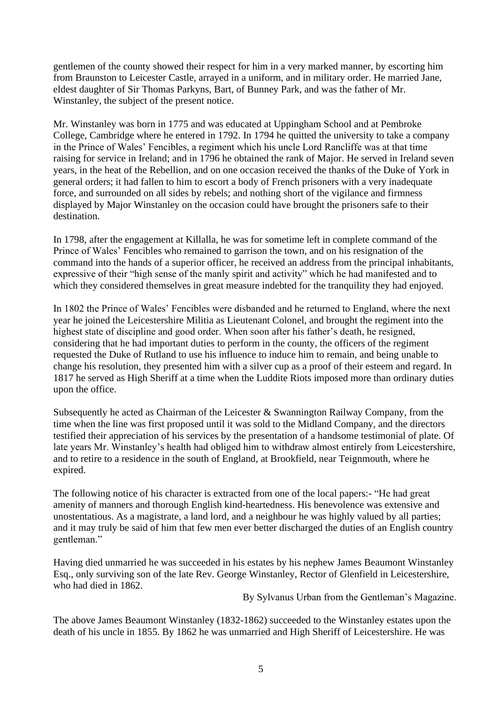gentlemen of the county showed their respect for him in a very marked manner, by escorting him from Braunston to Leicester Castle, arrayed in a uniform, and in military order. He married Jane, eldest daughter of Sir Thomas Parkyns, Bart, of Bunney Park, and was the father of Mr. Winstanley, the subject of the present notice.

Mr. Winstanley was born in 1775 and was educated at Uppingham School and at Pembroke College, Cambridge where he entered in 1792. In 1794 he quitted the university to take a company in the Prince of Wales' Fencibles, a regiment which his uncle Lord Rancliffe was at that time raising for service in Ireland; and in 1796 he obtained the rank of Major. He served in Ireland seven years, in the heat of the Rebellion, and on one occasion received the thanks of the Duke of York in general orders; it had fallen to him to escort a body of French prisoners with a very inadequate force, and surrounded on all sides by rebels; and nothing short of the vigilance and firmness displayed by Major Winstanley on the occasion could have brought the prisoners safe to their destination.

In 1798, after the engagement at Killalla, he was for sometime left in complete command of the Prince of Wales' Fencibles who remained to garrison the town, and on his resignation of the command into the hands of a superior officer, he received an address from the principal inhabitants, expressive of their "high sense of the manly spirit and activity" which he had manifested and to which they considered themselves in great measure indebted for the tranquility they had enjoyed.

In 1802 the Prince of Wales' Fencibles were disbanded and he returned to England, where the next year he joined the Leicestershire Militia as Lieutenant Colonel, and brought the regiment into the highest state of discipline and good order. When soon after his father's death, he resigned, considering that he had important duties to perform in the county, the officers of the regiment requested the Duke of Rutland to use his influence to induce him to remain, and being unable to change his resolution, they presented him with a silver cup as a proof of their esteem and regard. In 1817 he served as High Sheriff at a time when the Luddite Riots imposed more than ordinary duties upon the office.

Subsequently he acted as Chairman of the Leicester & Swannington Railway Company, from the time when the line was first proposed until it was sold to the Midland Company, and the directors testified their appreciation of his services by the presentation of a handsome testimonial of plate. Of late years Mr. Winstanley's health had obliged him to withdraw almost entirely from Leicestershire, and to retire to a residence in the south of England, at Brookfield, near Teignmouth, where he expired.

The following notice of his character is extracted from one of the local papers:- "He had great amenity of manners and thorough English kind-heartedness. His benevolence was extensive and unostentatious. As a magistrate, a land lord, and a neighbour he was highly valued by all parties; and it may truly be said of him that few men ever better discharged the duties of an English country gentleman."

Having died unmarried he was succeeded in his estates by his nephew James Beaumont Winstanley Esq., only surviving son of the late Rev. George Winstanley, Rector of Glenfield in Leicestershire, who had died in 1862.

By Sylvanus Urban from the Gentleman's Magazine.

The above James Beaumont Winstanley (1832-1862) succeeded to the Winstanley estates upon the death of his uncle in 1855. By 1862 he was unmarried and High Sheriff of Leicestershire. He was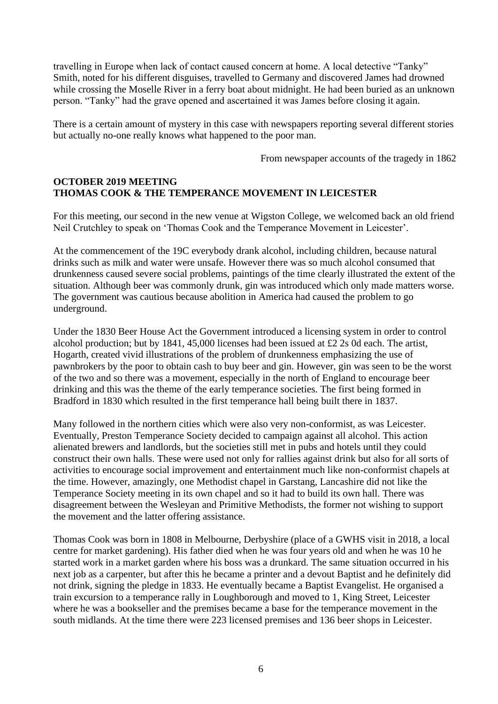travelling in Europe when lack of contact caused concern at home. A local detective "Tanky" Smith, noted for his different disguises, travelled to Germany and discovered James had drowned while crossing the Moselle River in a ferry boat about midnight. He had been buried as an unknown person. "Tanky" had the grave opened and ascertained it was James before closing it again.

There is a certain amount of mystery in this case with newspapers reporting several different stories but actually no-one really knows what happened to the poor man.

From newspaper accounts of the tragedy in 1862

#### **OCTOBER 2019 MEETING THOMAS COOK & THE TEMPERANCE MOVEMENT IN LEICESTER**

For this meeting, our second in the new venue at Wigston College, we welcomed back an old friend Neil Crutchley to speak on 'Thomas Cook and the Temperance Movement in Leicester'.

At the commencement of the 19C everybody drank alcohol, including children, because natural drinks such as milk and water were unsafe. However there was so much alcohol consumed that drunkenness caused severe social problems, paintings of the time clearly illustrated the extent of the situation. Although beer was commonly drunk, gin was introduced which only made matters worse. The government was cautious because abolition in America had caused the problem to go underground.

Under the 1830 Beer House Act the Government introduced a licensing system in order to control alcohol production; but by 1841, 45,000 licenses had been issued at £2 2s 0d each. The artist, Hogarth, created vivid illustrations of the problem of drunkenness emphasizing the use of pawnbrokers by the poor to obtain cash to buy beer and gin. However, gin was seen to be the worst of the two and so there was a movement, especially in the north of England to encourage beer drinking and this was the theme of the early temperance societies. The first being formed in Bradford in 1830 which resulted in the first temperance hall being built there in 1837.

Many followed in the northern cities which were also very non-conformist, as was Leicester. Eventually, Preston Temperance Society decided to campaign against all alcohol. This action alienated brewers and landlords, but the societies still met in pubs and hotels until they could construct their own halls. These were used not only for rallies against drink but also for all sorts of activities to encourage social improvement and entertainment much like non-conformist chapels at the time. However, amazingly, one Methodist chapel in Garstang, Lancashire did not like the Temperance Society meeting in its own chapel and so it had to build its own hall. There was disagreement between the Wesleyan and Primitive Methodists, the former not wishing to support the movement and the latter offering assistance.

Thomas Cook was born in 1808 in Melbourne, Derbyshire (place of a GWHS visit in 2018, a local centre for market gardening). His father died when he was four years old and when he was 10 he started work in a market garden where his boss was a drunkard. The same situation occurred in his next job as a carpenter, but after this he became a printer and a devout Baptist and he definitely did not drink, signing the pledge in 1833. He eventually became a Baptist Evangelist. He organised a train excursion to a temperance rally in Loughborough and moved to 1, King Street, Leicester where he was a bookseller and the premises became a base for the temperance movement in the south midlands. At the time there were 223 licensed premises and 136 beer shops in Leicester.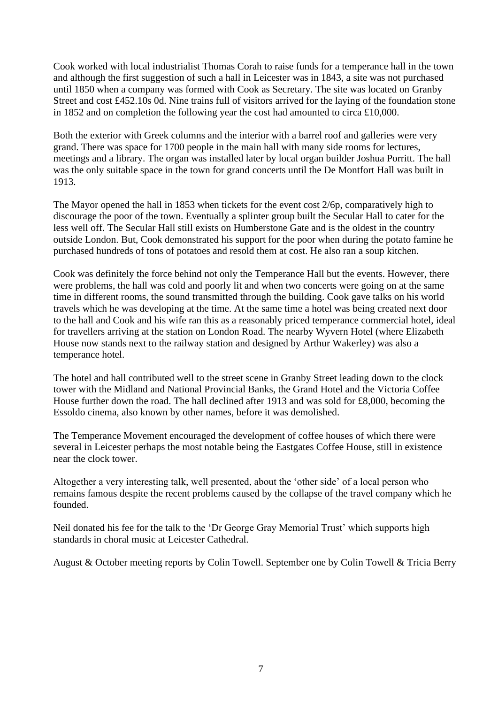Cook worked with local industrialist Thomas Corah to raise funds for a temperance hall in the town and although the first suggestion of such a hall in Leicester was in 1843, a site was not purchased until 1850 when a company was formed with Cook as Secretary. The site was located on Granby Street and cost £452.10s 0d. Nine trains full of visitors arrived for the laying of the foundation stone in 1852 and on completion the following year the cost had amounted to circa £10,000.

Both the exterior with Greek columns and the interior with a barrel roof and galleries were very grand. There was space for 1700 people in the main hall with many side rooms for lectures, meetings and a library. The organ was installed later by local organ builder Joshua Porritt. The hall was the only suitable space in the town for grand concerts until the De Montfort Hall was built in 1913.

The Mayor opened the hall in 1853 when tickets for the event cost 2/6p, comparatively high to discourage the poor of the town. Eventually a splinter group built the Secular Hall to cater for the less well off. The Secular Hall still exists on Humberstone Gate and is the oldest in the country outside London. But, Cook demonstrated his support for the poor when during the potato famine he purchased hundreds of tons of potatoes and resold them at cost. He also ran a soup kitchen.

Cook was definitely the force behind not only the Temperance Hall but the events. However, there were problems, the hall was cold and poorly lit and when two concerts were going on at the same time in different rooms, the sound transmitted through the building. Cook gave talks on his world travels which he was developing at the time. At the same time a hotel was being created next door to the hall and Cook and his wife ran this as a reasonably priced temperance commercial hotel, ideal for travellers arriving at the station on London Road. The nearby Wyvern Hotel (where Elizabeth House now stands next to the railway station and designed by Arthur Wakerley) was also a temperance hotel.

The hotel and hall contributed well to the street scene in Granby Street leading down to the clock tower with the Midland and National Provincial Banks, the Grand Hotel and the Victoria Coffee House further down the road. The hall declined after 1913 and was sold for £8,000, becoming the Essoldo cinema, also known by other names, before it was demolished.

The Temperance Movement encouraged the development of coffee houses of which there were several in Leicester perhaps the most notable being the Eastgates Coffee House, still in existence near the clock tower.

Altogether a very interesting talk, well presented, about the 'other side' of a local person who remains famous despite the recent problems caused by the collapse of the travel company which he founded.

Neil donated his fee for the talk to the 'Dr George Gray Memorial Trust' which supports high standards in choral music at Leicester Cathedral.

August & October meeting reports by Colin Towell. September one by Colin Towell & Tricia Berry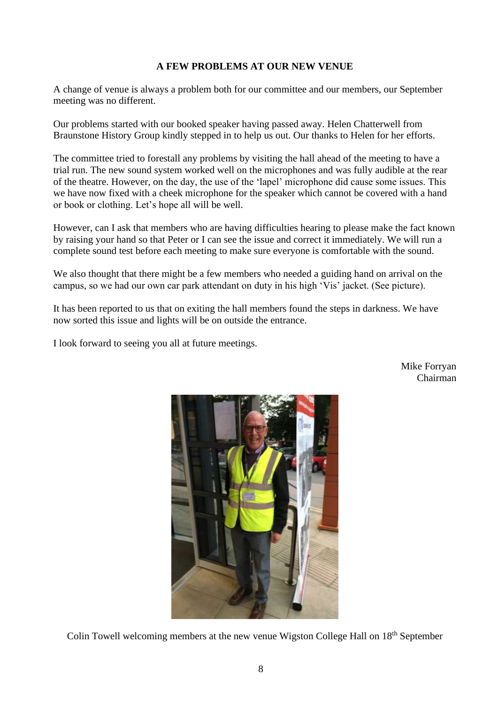## **A FEW PROBLEMS AT OUR NEW VENUE**

A change of venue is always a problem both for our committee and our members, our September meeting was no different.

Our problems started with our booked speaker having passed away. Helen Chatterwell from Braunstone History Group kindly stepped in to help us out. Our thanks to Helen for her efforts.

The committee tried to forestall any problems by visiting the hall ahead of the meeting to have a trial run. The new sound system worked well on the microphones and was fully audible at the rear of the theatre. However, on the day, the use of the 'lapel' microphone did cause some issues. This we have now fixed with a cheek microphone for the speaker which cannot be covered with a hand or book or clothing. Let's hope all will be well.

However, can I ask that members who are having difficulties hearing to please make the fact known by raising your hand so that Peter or I can see the issue and correct it immediately. We will run a complete sound test before each meeting to make sure everyone is comfortable with the sound.

We also thought that there might be a few members who needed a guiding hand on arrival on the campus, so we had our own car park attendant on duty in his high 'Vis' jacket. (See picture).

It has been reported to us that on exiting the hall members found the steps in darkness. We have now sorted this issue and lights will be on outside the entrance.

I look forward to seeing you all at future meetings.

Mike Forryan Chairman



Colin Towell welcoming members at the new venue Wigston College Hall on 18<sup>th</sup> September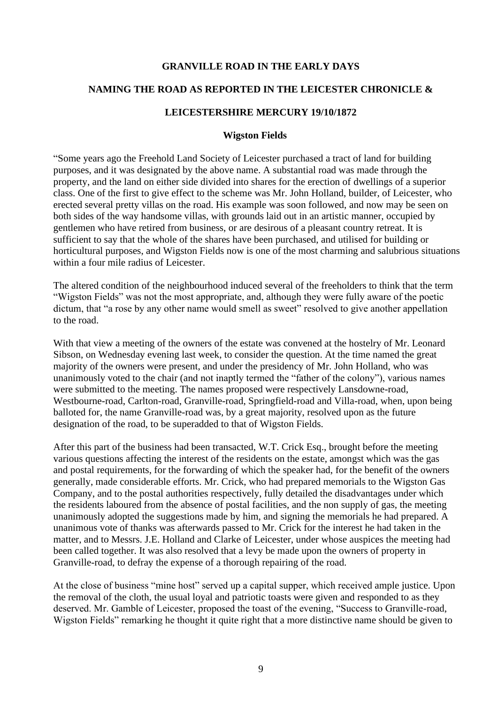#### **GRANVILLE ROAD IN THE EARLY DAYS**

#### **NAMING THE ROAD AS REPORTED IN THE LEICESTER CHRONICLE &**

#### **LEICESTERSHIRE MERCURY 19/10/1872**

#### **Wigston Fields**

"Some years ago the Freehold Land Society of Leicester purchased a tract of land for building purposes, and it was designated by the above name. A substantial road was made through the property, and the land on either side divided into shares for the erection of dwellings of a superior class. One of the first to give effect to the scheme was Mr. John Holland, builder, of Leicester, who erected several pretty villas on the road. His example was soon followed, and now may be seen on both sides of the way handsome villas, with grounds laid out in an artistic manner, occupied by gentlemen who have retired from business, or are desirous of a pleasant country retreat. It is sufficient to say that the whole of the shares have been purchased, and utilised for building or horticultural purposes, and Wigston Fields now is one of the most charming and salubrious situations within a four mile radius of Leicester.

The altered condition of the neighbourhood induced several of the freeholders to think that the term "Wigston Fields" was not the most appropriate, and, although they were fully aware of the poetic dictum, that "a rose by any other name would smell as sweet" resolved to give another appellation to the road.

With that view a meeting of the owners of the estate was convened at the hostelry of Mr. Leonard Sibson, on Wednesday evening last week, to consider the question. At the time named the great majority of the owners were present, and under the presidency of Mr. John Holland, who was unanimously voted to the chair (and not inaptly termed the "father of the colony"), various names were submitted to the meeting. The names proposed were respectively Lansdowne-road, Westbourne-road, Carlton-road, Granville-road, Springfield-road and Villa-road, when, upon being balloted for, the name Granville-road was, by a great majority, resolved upon as the future designation of the road, to be superadded to that of Wigston Fields.

After this part of the business had been transacted, W.T. Crick Esq., brought before the meeting various questions affecting the interest of the residents on the estate, amongst which was the gas and postal requirements, for the forwarding of which the speaker had, for the benefit of the owners generally, made considerable efforts. Mr. Crick, who had prepared memorials to the Wigston Gas Company, and to the postal authorities respectively, fully detailed the disadvantages under which the residents laboured from the absence of postal facilities, and the non supply of gas, the meeting unanimously adopted the suggestions made by him, and signing the memorials he had prepared. A unanimous vote of thanks was afterwards passed to Mr. Crick for the interest he had taken in the matter, and to Messrs. J.E. Holland and Clarke of Leicester, under whose auspices the meeting had been called together. It was also resolved that a levy be made upon the owners of property in Granville-road, to defray the expense of a thorough repairing of the road.

At the close of business "mine host" served up a capital supper, which received ample justice. Upon the removal of the cloth, the usual loyal and patriotic toasts were given and responded to as they deserved. Mr. Gamble of Leicester, proposed the toast of the evening, "Success to Granville-road, Wigston Fields" remarking he thought it quite right that a more distinctive name should be given to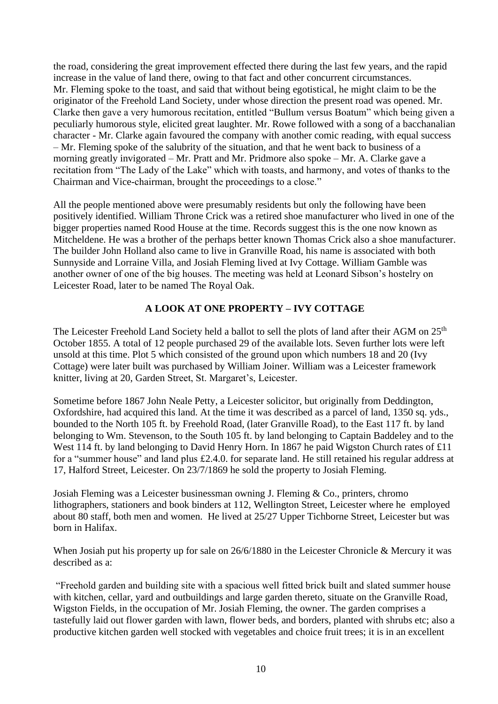the road, considering the great improvement effected there during the last few years, and the rapid increase in the value of land there, owing to that fact and other concurrent circumstances. Mr. Fleming spoke to the toast, and said that without being egotistical, he might claim to be the originator of the Freehold Land Society, under whose direction the present road was opened. Mr. Clarke then gave a very humorous recitation, entitled "Bullum versus Boatum" which being given a peculiarly humorous style, elicited great laughter. Mr. Rowe followed with a song of a bacchanalian character - Mr. Clarke again favoured the company with another comic reading, with equal success – Mr. Fleming spoke of the salubrity of the situation, and that he went back to business of a morning greatly invigorated – Mr. Pratt and Mr. Pridmore also spoke – Mr. A. Clarke gave a recitation from "The Lady of the Lake" which with toasts, and harmony, and votes of thanks to the Chairman and Vice-chairman, brought the proceedings to a close."

All the people mentioned above were presumably residents but only the following have been positively identified. William Throne Crick was a retired shoe manufacturer who lived in one of the bigger properties named Rood House at the time. Records suggest this is the one now known as Mitcheldene. He was a brother of the perhaps better known Thomas Crick also a shoe manufacturer. The builder John Holland also came to live in Granville Road, his name is associated with both Sunnyside and Lorraine Villa, and Josiah Fleming lived at Ivy Cottage. William Gamble was another owner of one of the big houses. The meeting was held at Leonard Sibson's hostelry on Leicester Road, later to be named The Royal Oak.

#### **A LOOK AT ONE PROPERTY – IVY COTTAGE**

The Leicester Freehold Land Society held a ballot to sell the plots of land after their AGM on 25<sup>th</sup> October 1855. A total of 12 people purchased 29 of the available lots. Seven further lots were left unsold at this time. Plot 5 which consisted of the ground upon which numbers 18 and 20 (Ivy Cottage) were later built was purchased by William Joiner. William was a Leicester framework knitter, living at 20, Garden Street, St. Margaret's, Leicester.

Sometime before 1867 John Neale Petty, a Leicester solicitor, but originally from Deddington, Oxfordshire, had acquired this land. At the time it was described as a parcel of land, 1350 sq. yds., bounded to the North 105 ft. by Freehold Road, (later Granville Road), to the East 117 ft. by land belonging to Wm. Stevenson, to the South 105 ft. by land belonging to Captain Baddeley and to the West 114 ft. by land belonging to David Henry Horn. In 1867 he paid Wigston Church rates of £11 for a "summer house" and land plus £2.4.0. for separate land. He still retained his regular address at 17, Halford Street, Leicester. On 23/7/1869 he sold the property to Josiah Fleming.

Josiah Fleming was a Leicester businessman owning J. Fleming & Co., printers, chromo lithographers, stationers and book binders at 112, Wellington Street, Leicester where he employed about 80 staff, both men and women. He lived at 25/27 Upper Tichborne Street, Leicester but was born in Halifax.

When Josiah put his property up for sale on 26/6/1880 in the Leicester Chronicle & Mercury it was described as a:

"Freehold garden and building site with a spacious well fitted brick built and slated summer house with kitchen, cellar, yard and outbuildings and large garden thereto, situate on the Granville Road, Wigston Fields, in the occupation of Mr. Josiah Fleming, the owner. The garden comprises a tastefully laid out flower garden with lawn, flower beds, and borders, planted with shrubs etc; also a productive kitchen garden well stocked with vegetables and choice fruit trees; it is in an excellent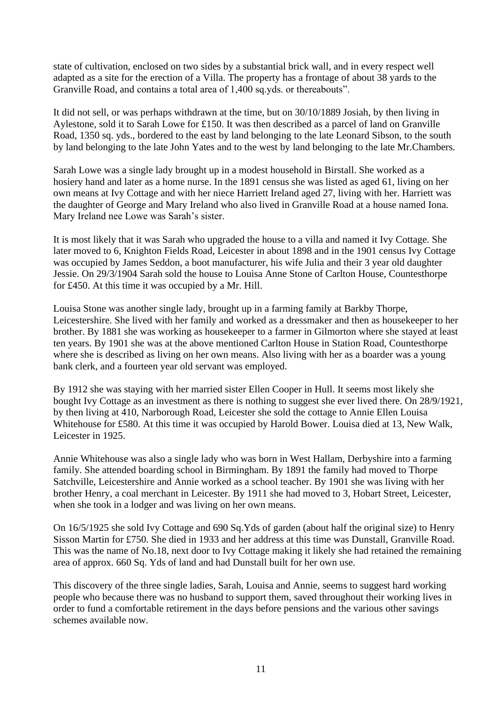state of cultivation, enclosed on two sides by a substantial brick wall, and in every respect well adapted as a site for the erection of a Villa. The property has a frontage of about 38 yards to the Granville Road, and contains a total area of 1,400 sq.yds. or thereabouts".

It did not sell, or was perhaps withdrawn at the time, but on 30/10/1889 Josiah, by then living in Aylestone, sold it to Sarah Lowe for £150. It was then described as a parcel of land on Granville Road, 1350 sq. yds., bordered to the east by land belonging to the late Leonard Sibson, to the south by land belonging to the late John Yates and to the west by land belonging to the late Mr.Chambers.

Sarah Lowe was a single lady brought up in a modest household in Birstall. She worked as a hosiery hand and later as a home nurse. In the 1891 census she was listed as aged 61, living on her own means at Ivy Cottage and with her niece Harriett Ireland aged 27, living with her. Harriett was the daughter of George and Mary Ireland who also lived in Granville Road at a house named Iona. Mary Ireland nee Lowe was Sarah's sister.

It is most likely that it was Sarah who upgraded the house to a villa and named it Ivy Cottage. She later moved to 6, Knighton Fields Road, Leicester in about 1898 and in the 1901 census Ivy Cottage was occupied by James Seddon, a boot manufacturer, his wife Julia and their 3 year old daughter Jessie. On 29/3/1904 Sarah sold the house to Louisa Anne Stone of Carlton House, Countesthorpe for £450. At this time it was occupied by a Mr. Hill.

Louisa Stone was another single lady, brought up in a farming family at Barkby Thorpe, Leicestershire. She lived with her family and worked as a dressmaker and then as housekeeper to her brother. By 1881 she was working as housekeeper to a farmer in Gilmorton where she stayed at least ten years. By 1901 she was at the above mentioned Carlton House in Station Road, Countesthorpe where she is described as living on her own means. Also living with her as a boarder was a young bank clerk, and a fourteen year old servant was employed.

By 1912 she was staying with her married sister Ellen Cooper in Hull. It seems most likely she bought Ivy Cottage as an investment as there is nothing to suggest she ever lived there. On 28/9/1921, by then living at 410, Narborough Road, Leicester she sold the cottage to Annie Ellen Louisa Whitehouse for £580. At this time it was occupied by Harold Bower. Louisa died at 13, New Walk, Leicester in 1925.

Annie Whitehouse was also a single lady who was born in West Hallam, Derbyshire into a farming family. She attended boarding school in Birmingham. By 1891 the family had moved to Thorpe Satchville, Leicestershire and Annie worked as a school teacher. By 1901 she was living with her brother Henry, a coal merchant in Leicester. By 1911 she had moved to 3, Hobart Street, Leicester, when she took in a lodger and was living on her own means.

On 16/5/1925 she sold Ivy Cottage and 690 Sq.Yds of garden (about half the original size) to Henry Sisson Martin for £750. She died in 1933 and her address at this time was Dunstall, Granville Road. This was the name of No.18, next door to Ivy Cottage making it likely she had retained the remaining area of approx. 660 Sq. Yds of land and had Dunstall built for her own use.

This discovery of the three single ladies, Sarah, Louisa and Annie, seems to suggest hard working people who because there was no husband to support them, saved throughout their working lives in order to fund a comfortable retirement in the days before pensions and the various other savings schemes available now.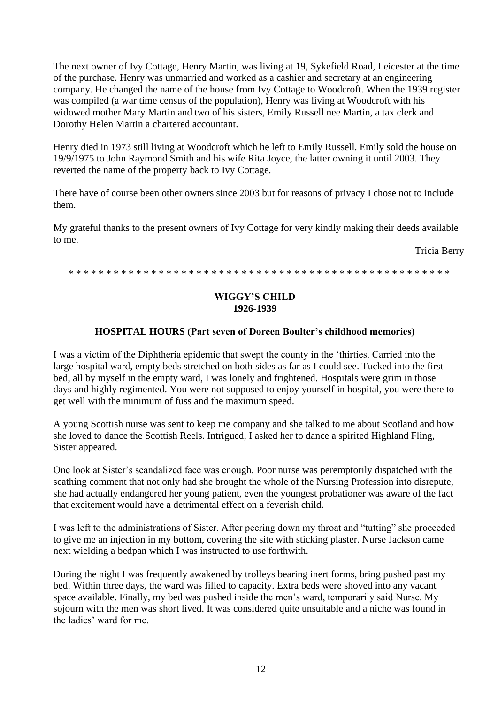The next owner of Ivy Cottage, Henry Martin, was living at 19, Sykefield Road, Leicester at the time of the purchase. Henry was unmarried and worked as a cashier and secretary at an engineering company. He changed the name of the house from Ivy Cottage to Woodcroft. When the 1939 register was compiled (a war time census of the population), Henry was living at Woodcroft with his widowed mother Mary Martin and two of his sisters, Emily Russell nee Martin, a tax clerk and Dorothy Helen Martin a chartered accountant.

Henry died in 1973 still living at Woodcroft which he left to Emily Russell. Emily sold the house on 19/9/1975 to John Raymond Smith and his wife Rita Joyce, the latter owning it until 2003. They reverted the name of the property back to Ivy Cottage.

There have of course been other owners since 2003 but for reasons of privacy I chose not to include them.

My grateful thanks to the present owners of Ivy Cottage for very kindly making their deeds available to me.

Tricia Berry

\* \* \* \* \* \* \* \* \* \* \* \* \* \* \* \* \* \* \* \* \* \* \* \* \* \* \* \* \* \* \* \* \* \* \* \* \* \* \* \* \* \* \* \* \* \* \* \* \* \* \*

# **WIGGY'S CHILD 1926-1939**

#### **HOSPITAL HOURS (Part seven of Doreen Boulter's childhood memories)**

I was a victim of the Diphtheria epidemic that swept the county in the 'thirties. Carried into the large hospital ward, empty beds stretched on both sides as far as I could see. Tucked into the first bed, all by myself in the empty ward, I was lonely and frightened. Hospitals were grim in those days and highly regimented. You were not supposed to enjoy yourself in hospital, you were there to get well with the minimum of fuss and the maximum speed.

A young Scottish nurse was sent to keep me company and she talked to me about Scotland and how she loved to dance the Scottish Reels. Intrigued, I asked her to dance a spirited Highland Fling, Sister appeared.

One look at Sister's scandalized face was enough. Poor nurse was peremptorily dispatched with the scathing comment that not only had she brought the whole of the Nursing Profession into disrepute, she had actually endangered her young patient, even the youngest probationer was aware of the fact that excitement would have a detrimental effect on a feverish child.

I was left to the administrations of Sister. After peering down my throat and "tutting" she proceeded to give me an injection in my bottom, covering the site with sticking plaster. Nurse Jackson came next wielding a bedpan which I was instructed to use forthwith.

During the night I was frequently awakened by trolleys bearing inert forms, bring pushed past my bed. Within three days, the ward was filled to capacity. Extra beds were shoved into any vacant space available. Finally, my bed was pushed inside the men's ward, temporarily said Nurse. My sojourn with the men was short lived. It was considered quite unsuitable and a niche was found in the ladies' ward for me.